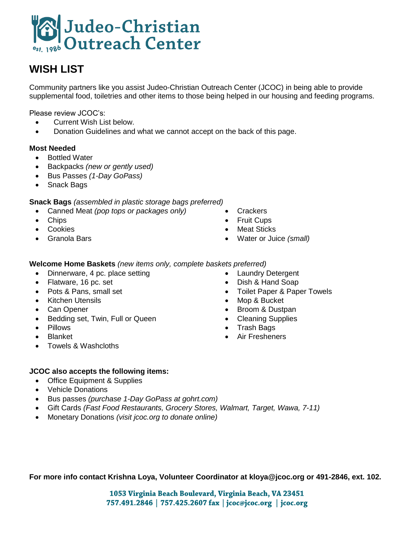

# **WISH LIST**

Community partners like you assist Judeo-Christian Outreach Center (JCOC) in being able to provide supplemental food, toiletries and other items to those being helped in our housing and feeding programs.

Please review JCOC's:

- Current Wish List below.
- Donation Guidelines and what we cannot accept on the back of this page.

#### **Most Needed**

- Bottled Water
- Backpacks *(new or gently used)*
- Bus Passes *(1-Day GoPass)*
- Snack Bags

**Snack Bags** *(assembled in plastic storage bags preferred)* 

- Canned Meat *(pop tops or packages only)*
- Chips
- Cookies
- Granola Bars
- **Crackers**
- Fruit Cups
- Meat Sticks
- Water or Juice *(small)*

#### **Welcome Home Baskets** *(new items only, complete baskets preferred)*

- Dinnerware, 4 pc. place setting
- Flatware, 16 pc. set
- Pots & Pans, small set
- Kitchen Utensils
- Can Opener
- Bedding set, Twin, Full or Queen
- Pillows
- Blanket
- Towels & Washcloths
- Laundry Detergent
- Dish & Hand Soap
- Toilet Paper & Paper Towels
- Mop & Bucket
- Broom & Dustpan
- Cleaning Supplies
- Trash Bags
- Air Fresheners

#### **JCOC also accepts the following items:**

- Office Equipment & Supplies
- Vehicle Donations
- Bus passes *(purchase 1-Day GoPass at gohrt.com)*
- Gift Cards *(Fast Food Restaurants, Grocery Stores, Walmart, Target, Wawa, 7-11)*
- Monetary Donations *(visit jcoc.org to donate online)*

**For more info contact Krishna Loya, Volunteer Coordinator at kloya@jcoc.org or 491-2846, ext. 102.**

1053 Virginia Beach Boulevard, Virginia Beach, VA 23451 757.491.2846 | 757.425.2607 fax | jcoc@jcoc.org | jcoc.org